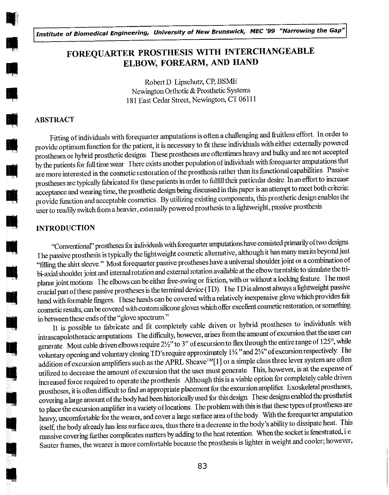Institute of Biomedical Engineering, University of New Brunswick, MEC '99 "Narrowing the Gap"

# FOREQUARTER PROSTHESIS WITH INTERCHANGEABLE ELBOW, FOREARM, AND HAND

Robert D. Lipschutz, CP, BSME Newington Orthotic &Prosthetic Systems 181 East Cedar Street, Newington, CT 06111

# ABSTRACT

Fitting of individuals with forequarter amputations is often a challenging and fruitless effort. In order to provide optimum function for the patient, it is necessary to fit these individuals with either externallypowered prostheses or hybrid prosthetic designs. These prostheses are oftentimes heavy and bulky and are not accepted by the patients for full time wear. There exists another population of individuals with forequarter amputations that are more interested in the cosmetic restoration of the prosthesis rather than its functional capabilities. Passive prostheses are typically fabricated for these patients in order to fulfill their particular desire. In an effort to increase acceptance and wearing time, the prosthetic design being discussed in this papet is an attempt to meet both criteria: provide function and acceptable cosmetics. By utilizing existing components, this prosthetic design enables the user to readily switch from a heavier, externally powered prosthesis to a lightweight, passive prosthesis

#### INTRODUCTION

"Conventional" prostheses for individuals with forequarter amputations have consisted primarily of two designs. The passive prosthesis is typically the lightweight cosmetic alternative, although it has many met its beyond just "filling the shirt sleeve." Most forequarter passive prostheses have a universal shouldet joint or a combination of bi-axial shoulder joint and internal rotation and external rotation available at the elbow turntable to simulate the triplanar joint motions. The elbows can be either free-swing or friction, with or without a locking feature. The most crucial part of these passive prostheses is the terminal device (TD). The TD is almost always a lightweight passive hand with formable fingers. These hands can be covered with a relatively inexpensive glove which provides fair cosmetic results, can be covered with custom silicone gloves which offer excellent cosmetic restoration, or something in between these ends of the "glove spectrum "

It is possible to fabricate and fit completely cable driven or hybrid prostheses to individuals with intrascapulothoracic amputations. The difficulty, however, arises from the amount of excursion that the user can generate. Most cable driven elbows require 2½" to 3" of excursion to flex through the entire range of 125°, while voluntary opening and voluntary closing TD's require approximately 1% " and 2%" of excursion respectively. The addition of excursion amplifiers such as the APRL Sheave<sup>TM</sup>[1] or a simple class three lever system are often utilized to decrease the amount of excursion that the user must generate. This, however, is at the expense of increased force required to operate the prosthesis. Although this is a viable option for completely cable driven prostheses, it is often difficult to find an appropriate placement for the excursion amplifier. Exoskeletal prostheses, covering a large amount of the body had been historically used for this design. These designs enabled the prosthetist to place the excursion amplifier in a variety of locations. The problem with this is that these types of prostheses are heavy, uncomfortable for the wearer, and cover a large surface area of the body. With the forequarter amputation itself, the body already has less surface area, thus there is a decrease in the body's ability to dissipate heat. This massive covering further complicates matters by adding to the heat retention. When the socket is fenestrated, i.e. Sauter frames, the wearer is more comfortable because the prosthesis is lighter in weight and cooler; however,

83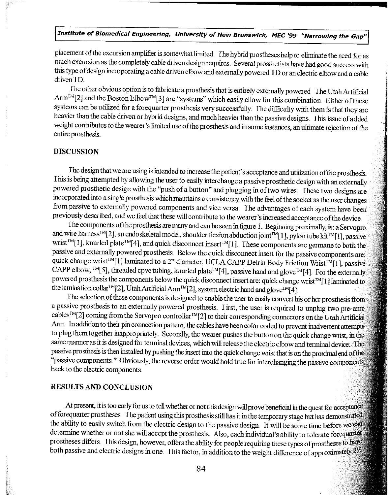# Institute of Biomedical Engineering, University of New Brunswick, MEE '99 "Narrowing the Gap"

placement of the excursion amplifier is somewhat limited. The hybrid prostheses help to eliminate the need for as much excursion as the completely cable driven design requires. Several prosthetists have had good success with this type of design incorporating a cable driven elbow and externally powered ID or an electric elbow anda cable driven ID.

Ihe other obvious option is to fabricate a prosthesis that is entirely externally power ed Ihe Utah Artificial Arm<sup>™</sup>[2] and the Boston Elbow<sup>™</sup>[3] are "systems" which easily allow for this combination Either of these systems can be utilized for a forequarter prosthesis very successfully The difficulty with them is that they are heavier than the cable driven or hybrid designs, and much heavier than the passive designs. This issue of added weight contributes to the wearer's limited use of the prosthesis and in some instances, an ultimate rejection of the entire prosthesis

## DISCUSSION

The design that we are using is intended to increase the patient's acceptance and utilizationof the prosthesis This is being attempted by allowing the user to easily interchange a passive prosthetic design with an externally powered prosthetic design with the "push of a button" and plugging in of two wires. These two designs are incorporated into a single prosthesis which maintains a consistency with the feel of the socket as the user changes from passive to externally powered components and vice versa The advantages of each system have been previously described, and we feel that these will contribute to the wearer's increased acceptance of the device.

The components of the prosthesis are many and can be seen in figure 1. Beginning proximally, is: a Servopro and wire harness<sup>IM</sup>[2], an endoskeletal model, shoulder flexion abduction joint<sup>IM</sup>[1], pylon tube kit<sup>IM</sup>[1], passive wrist<sup>IM</sup>[1], knurled plate<sup>IM</sup>[4], and quick disconnect insert<sup>IM</sup>[1]. These components are germane to both the passive and externally powered prosthesis. Below the quick disconnect insert for the passive components are: quick change wrist<sup>IM</sup>[1] laminated to a 2" diameter, UCLA CAPP Delrin Body Friction Wrist<sup>IM</sup>[1], passive CAPP elbow, <sup>IM</sup>[5], threaded cpvc tubing, knurled plate<sup>IM</sup>[4], passive hand and glove<sup>IM</sup>[4]. For the externally powered prosthesis the components below the quick disconnect insert are: quick change wrist<sup>IM</sup>[1] laminated to the lamination collar<sup> IM</sup>[2], Utah Artificial Arm<sup>IM</sup>[2], system electric hand and glove<sup>TM</sup>[4].

The selection of these components is designed to enable the user to easily convert his or her prosthesis from a passive prosthesis to an externally powered prosthesis. First, the user is required to unplug two pre-amp cables<sup>IM</sup>[2] coming from the Servopro controller<sup>IM</sup>[2] to their corresponding connectors on the Utah Artificial Arm In addition to their pin connection pattern, the cables have been color coded to prevent inadvertent attempts to plug themtogether inappioptiately. Secondly, the wearer pushes the button on the quick change wrist, in the same manner as it is designed for terminal devices, which will release the electric elbow and terminal device. The passive prosthesis is then installed by pushing the insert into the quick change wrist that is on the proximal end ofthe "passive components " Obviously, the reverse order would hold true for interchanging the passive components back to the electric components

#### RESULTS AND CONCLUSION

At present, it is too early for us to tell whether or not this design will prove beneficial in the quest for acceptance of forequarter prostheses. The patient using this prosthesis still has it in the temporary stage but has demonstrated the ability to easily switch from the electric design to the passive design It will be some time before we can determine whether or not she will accept the prosthesis. Also, each individual's ability to tolerate forequarter prostheses differs. This design, however, offers the ability for people requiring these types of prostheses to have both passive and electric designs in one This factor, in addition to the weight difference of approximately 21/2